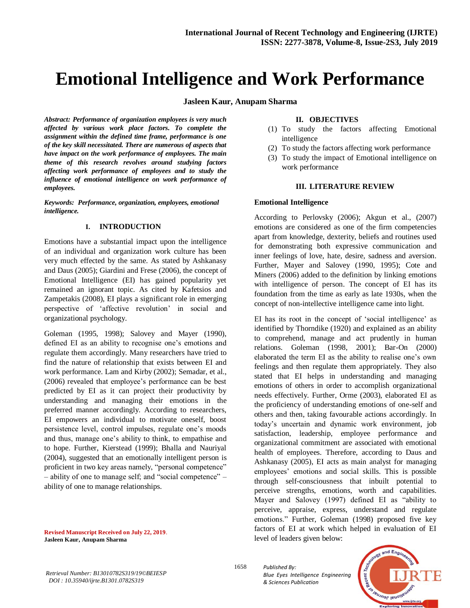# **Emotional Intelligence and Work Performance**

**Jasleen Kaur, Anupam Sharma**

*Abstract: Performance of organization employees is very much affected by various work place factors. To complete the assignment within the defined time frame, performance is one of the key skill necessitated. There are numerous of aspects that have impact on the work performance of employees. The main theme of this research revolves around studying factors affecting work performance of employees and to study the influence of emotional intelligence on work performance of employees.*

*Keywords: Performance, organization, employees, emotional intelligence.*

#### **I. INTRODUCTION**

Emotions have a substantial impact upon the intelligence of an individual and organization work culture has been very much effected by the same. As stated by Ashkanasy and Daus (2005); Giardini and Frese (2006), the concept of Emotional Intelligence (EI) has gained popularity yet remained an ignorant topic. As cited by Kafetsios and Zampetakis (2008), EI plays a significant role in emerging perspective of 'affective revolution' in social and organizational psychology.

Goleman (1995, 1998); Salovey and Mayer (1990), defined EI as an ability to recognise one's emotions and regulate them accordingly. Many researchers have tried to find the nature of relationship that exists between EI and work performance. Lam and Kirby (2002); Semadar, et al., (2006) revealed that employee's performance can be best predicted by EI as it can project their productivity by understanding and managing their emotions in the preferred manner accordingly. According to researchers, EI empowers an individual to motivate oneself, boost persistence level, control impulses, regulate one's moods and thus, manage one's ability to think, to empathise and to hope. Further, Kierstead (1999); Bhalla and Nauriyal (2004), suggested that an emotionally intelligent person is proficient in two key areas namely, "personal competence" – ability of one to manage self; and "social competence" – ability of one to manage relationships.

**Revised Manuscript Received on July 22, 2019**. **Jasleen Kaur, Anupam Sharma**

#### **II. OBJECTIVES**

- (1) To study the factors affecting Emotional intelligence
- (2) To study the factors affecting work performance
- (3) To study the impact of Emotional intelligence on work performance

#### **III. LITERATURE REVIEW**

#### **Emotional Intelligence**

According to Perlovsky (2006); Akgun et al., (2007) emotions are considered as one of the firm competencies apart from knowledge, dexterity, beliefs and routines used for demonstrating both expressive communication and inner feelings of love, hate, desire, sadness and aversion. Further, Mayer and Salovey (1990, 1995); Cote and Miners (2006) added to the definition by linking emotions with intelligence of person. The concept of EI has its foundation from the time as early as late 1930s, when the concept of non-intellective intelligence came into light.

EI has its root in the concept of 'social intelligence' as identified by Thorndike (1920) and explained as an ability to comprehend, manage and act prudently in human relations. Goleman (1998, 2001); Bar-On (2000) elaborated the term EI as the ability to realise one's own feelings and then regulate them appropriately. They also stated that EI helps in understanding and managing emotions of others in order to accomplish organizational needs effectively. Further, Orme (2003), elaborated EI as the proficiency of understanding emotions of one-self and others and then, taking favourable actions accordingly. In today's uncertain and dynamic work environment, job satisfaction, leadership, employee performance and organizational commitment are associated with emotional health of employees. Therefore, according to Daus and Ashkanasy (2005), EI acts as main analyst for managing employees' emotions and social skills. This is possible through self-consciousness that inbuilt potential to perceive strengths, emotions, worth and capabilities. Mayer and Salovey (1997) defined EI as "ability to perceive, appraise, express, understand and regulate emotions." Further, Goleman (1998) proposed five key factors of EI at work which helped in evaluation of EI level of leaders given below:

*Retrieval Number: B13010782S319/19©BEIESP DOI : 10.35940/ijrte.B1301.0782S319*

*Published By: Blue Eyes Intelligence Engineering & Sciences Publication* 



1658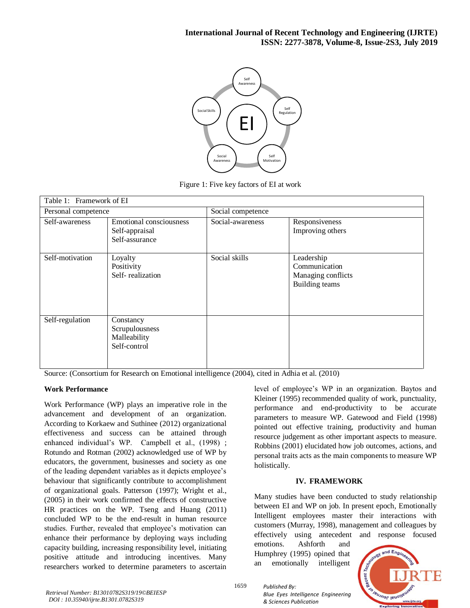

Figure 1: Five key factors of EI at work

| Table 1: Framework of EI |                                                                    |                   |                                                                            |  |  |
|--------------------------|--------------------------------------------------------------------|-------------------|----------------------------------------------------------------------------|--|--|
| Personal competence      |                                                                    | Social competence |                                                                            |  |  |
| Self-awareness           | <b>Emotional consciousness</b><br>Self-appraisal<br>Self-assurance | Social-awareness  | Responsiveness<br>Improving others                                         |  |  |
| Self-motivation          | Loyalty<br>Positivity<br>Self-realization                          | Social skills     | Leadership<br>Communication<br>Managing conflicts<br><b>Building teams</b> |  |  |
| Self-regulation          | Constancy<br>Scrupulousness<br>Malleability<br>Self-control        |                   |                                                                            |  |  |

Source: (Consortium for Research on Emotional intelligence (2004), cited in Adhia et al. (2010)

# **Work Performance**

Work Performance (WP) plays an imperative role in the advancement and development of an organization. According to Korkaew and Suthinee (2012) organizational effectiveness and success can be attained through enhanced individual's WP. Campbell et al., (1998) ; Rotundo and Rotman (2002) acknowledged use of WP by educators, the government, businesses and society as one of the leading dependent variables as it depicts employee's behaviour that significantly contribute to accomplishment of organizational goals. Patterson (1997); Wright et al., (2005) in their work confirmed the effects of constructive HR practices on the WP. Tseng and Huang (2011) concluded WP to be the end-result in human resource studies. Further, revealed that employee's motivation can enhance their performance by deploying ways including capacity building, increasing responsibility level, initiating positive attitude and introducing incentives. Many researchers worked to determine parameters to ascertain

level of employee's WP in an organization. Baytos and Kleiner (1995) recommended quality of work, punctuality, performance and end-productivity to be accurate parameters to measure WP. Gatewood and Field (1998) pointed out effective training, productivity and human resource judgement as other important aspects to measure. Robbins (2001) elucidated how job outcomes, actions, and personal traits acts as the main components to measure WP holistically.

# **IV. FRAMEWORK**

Many studies have been conducted to study relationship between EI and WP on job. In present epoch, Emotionally Intelligent employees master their interactions with customers (Murray, 1998), management and colleagues by effectively using antecedent and response focused

emotions. Ashforth and Humphrey (1995) opined that an emotionally intelligent



1659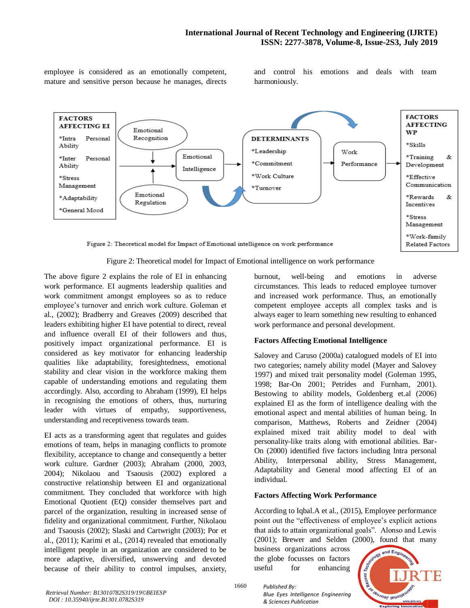employee is considered as an emotionally competent, mature and sensitive person because he manages, directs and control his emotions and deals with team harmoniously.



Figure 2: Theoretical model for Impact of Emotional intelligence on work performance

The above figure 2 explains the role of EI in enhancing work performance. EI augments leadership qualities and work commitment amongst employees so as to reduce employee's turnover and enrich work culture. Goleman et al., (2002); Bradberry and Greaves (2009) described that leaders exhibiting higher EI have potential to direct, reveal and influence overall EI of their followers and thus, positively impact organizational performance. EI is considered as key motivator for enhancing leadership qualities like adaptability, foresightedness, emotional stability and clear vision in the workforce making them capable of understanding emotions and regulating them accordingly. Also, according to Abraham (1999), EI helps in recognising the emotions of others, thus, nurturing leader with virtues of empathy, supportiveness, understanding and receptiveness towards team.

EI acts as a transforming agent that regulates and guides emotions of team, helps in managing conflicts to promote flexibility, acceptance to change and consequently a better work culture. Gardner (2003); Abraham (2000, 2003, 2004); Nikolaou and Tsaousis (2002) explored a constructive relationship between EI and organizational commitment. They concluded that workforce with high Emotional Quotient (EQ) consider themselves part and parcel of the organization, resulting in increased sense of fidelity and organizational commitment. Further, Nikolaou and Tsaousis (2002); Slaski and Cartwright (2003); Por et al., (2011); Karimi et al., (2014) revealed that emotionally intelligent people in an organization are considered to be more adaptive, diversified, unswerving and devoted because of their ability to control impulses, anxiety,

burnout, well-being and emotions in adverse circumstances. This leads to reduced employee turnover and increased work performance. Thus, an emotionally competent employee accepts all complex tasks and is always eager to learn something new resulting to enhanced work performance and personal development.

# **Factors Affecting Emotional Intelligence**

Salovey and Caruso (2000a) catalogued models of EI into two categories; namely ability model (Mayer and Salovey 1997) and mixed trait personality model (Goleman 1995, 1998; Bar-On 2001; Petrides and Furnham, 2001). Bestowing to ability models, Goldenberg et.al (2006) explained EI as the form of intelligence dealing with the emotional aspect and mental abilities of human being. In comparison, Matthews, Roberts and Zeidner (2004) explained mixed trait ability model to deal with personality-like traits along with emotional abilities. Bar-On (2000) identified five factors including Intra personal Ability, Interpersonal ability, Stress Management, Adaptability and General mood affecting EI of an individual.

# **Factors Affecting Work Performance**

According to Iqbal.A et al., (2015), Employee performance point out the "effectiveness of employee's explicit actions that aids to attain organizational goals". Alonso and Lewis (2001); Brewer and Selden (2000), found that many

business organizations across the globe focusses on factors useful for enhancing



1660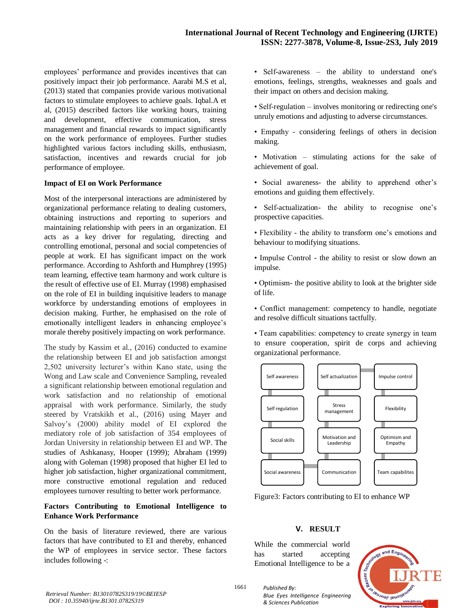employees' performance and provides incentives that can positively impact their job performance. Aarabi M.S et al, (2013) stated that companies provide various motivational factors to stimulate employees to achieve goals. Iqbal.A et al, (2015) described factors like working hours, training and development, effective communication, stress management and financial rewards to impact significantly on the work performance of employees. Further studies highlighted various factors including skills, enthusiasm, satisfaction, incentives and rewards crucial for job performance of employee.

#### **Impact of EI on Work Performance**

Most of the interpersonal interactions are administered by organizational performance relating to dealing customers, obtaining instructions and reporting to superiors and maintaining relationship with peers in an organization. EI acts as a key driver for regulating, directing and controlling emotional, personal and social competencies of people at work. EI has significant impact on the work performance. According to Ashforth and Humphrey (1995) team learning, effective team harmony and work culture is the result of effective use of EI. Murray (1998) emphasised on the role of EI in building inquisitive leaders to manage workforce by understanding emotions of employees in decision making. Further, he emphasised on the role of emotionally intelligent leaders in enhancing employee's morale thereby positively impacting on work performance.

The study by Kassim et al., (2016) conducted to examine the relationship between EI and job satisfaction amongst 2,502 university lecturer's within Kano state, using the Wong and Law scale and Convenience Sampling, revealed a significant relationship between emotional regulation and work satisfaction and no relationship of emotional appraisal with work performance. Similarly, the study steered by Vratskikh et al., (2016) using Mayer and Salvoy's (2000) ability model of EI explored the mediatory role of job satisfaction of 354 employees of Jordan University in relationship between EI and WP. The studies of Ashkanasy, Hooper (1999); Abraham (1999) along with Goleman (1998) proposed that higher EI led to higher job satisfaction, higher organizational commitment, more constructive emotional regulation and reduced employees turnover resulting to better work performance.

# **Factors Contributing to Emotional Intelligence to Enhance Work Performance**

On the basis of literature reviewed, there are various factors that have contributed to EI and thereby, enhanced the WP of employees in service sector. These factors includes following -:

• Self-awareness – the ability to understand one's emotions, feelings, strengths, weaknesses and goals and their impact on others and decision making.

- Self-regulation involves monitoring or redirecting one's unruly emotions and adjusting to adverse circumstances.
- Empathy considering feelings of others in decision making.
- Motivation stimulating actions for the sake of achievement of goal.
- Social awareness- the ability to apprehend other's emotions and guiding them effectively.
- Self-actualization- the ability to recognise one's prospective capacities.
- Flexibility the ability to transform one's emotions and behaviour to modifying situations.
- Impulse Control the ability to resist or slow down an impulse.
- Optimism- the positive ability to look at the brighter side of life.
- Conflict management: competency to handle, negotiate and resolve difficult situations tactfully.
- Team capabilities: competency to create synergy in team to ensure cooperation, spirit de corps and achieving organizational performance.



Figure3: Factors contributing to EI to enhance WP

# **V. RESULT**

While the commercial world has started accepting Emotional Intelligence to be a



*Retrieval Number: B13010782S319/19©BEIESP DOI : 10.35940/ijrte.B1301.0782S319*

1661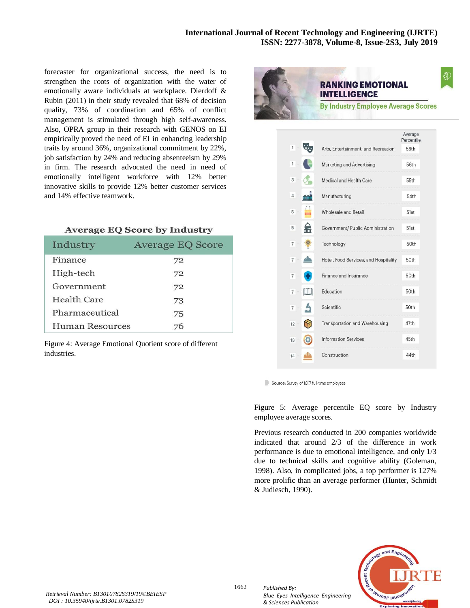forecaster for organizational success, the need is to strengthen the roots of organization with the water of emotionally aware individuals at workplace. Dierdoff & Rubin (2011) in their study revealed that 68% of decision quality, 73% of coordination and 65% of conflict management is stimulated through high self-awareness. Also, OPRA group in their research with GENOS on EI empirically proved the need of EI in enhancing leadership traits by around 36%, organizational commitment by 22%, job satisfaction by 24% and reducing absenteeism by 29% in firm. The research advocated the need in need of emotionally intelligent workforce with 12% better innovative skills to provide 12% better customer services and 14% effective teamwork.

# **Average EQ Score by Industry**

| Industry               | <b>Average EQ Score</b> |
|------------------------|-------------------------|
| Finance                | 72                      |
| High-tech              | 72                      |
| Government             | 72                      |
| Health Care            | 73                      |
| Pharmaceutical         | 75                      |
| <b>Human Resources</b> | 76                      |

Figure 4: Average Emotional Quotient score of different industries.



# **RANKING EMOTIONAL INTELLIGENCE**

**By Industry Employee Average Scores** 

|                     |                                       | Average<br><b>Percentile</b> |
|---------------------|---------------------------------------|------------------------------|
| 1                   | Arts, Entertainment, and Recreation   | 56th                         |
| 1                   | Marketing and Advertising             | 56th                         |
| 3                   | Medical and Health Care               | 55th                         |
| $\overline{4}$      | Manufacturing                         | 54th                         |
| 5                   | Wholesale and Retail                  | 51st                         |
| 5                   | Government/ Public Administration     | 51st                         |
| $\overline{7}$      | Technology                            | 50th                         |
| $\overline{7}$      | Hotel, Food Services, and Hospitality | 50th                         |
| $\overline{1}$      | Finance and Insurance                 | 50th                         |
| $\overline{7}$      | Education                             | 50th                         |
| Ą<br>$\overline{7}$ | Scientific                            | 50th                         |
| 12                  | Transportation and Warehousing        | 47th                         |
| 13                  | <b>Information Services</b>           | 45th                         |
| 14                  | Construction                          | 44th                         |

Source: Survey of 1,017 full-time employees

Figure 5: Average percentile EQ score by Industry employee average scores.

Previous research conducted in 200 companies worldwide indicated that around 2/3 of the difference in work performance is due to emotional intelligence, and only 1/3 due to technical skills and cognitive ability (Goleman, 1998). Also, in complicated jobs, a top performer is 127% more prolific than an average performer (Hunter, Schmidt & Judiesch, 1990).

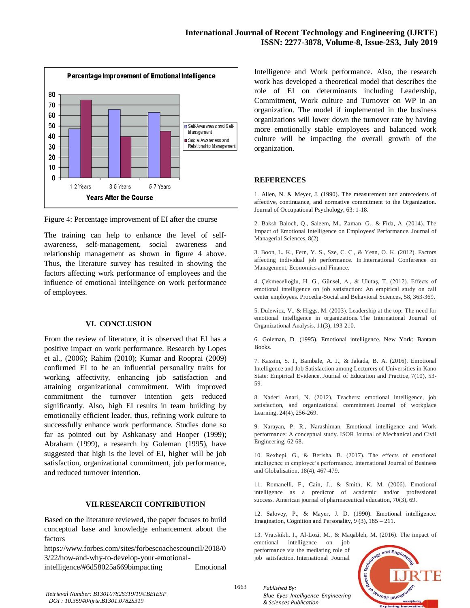

Figure 4: Percentage improvement of EI after the course

The training can help to enhance the level of selfawareness, self-management, social awareness and relationship management as shown in figure 4 above. Thus, the literature survey has resulted in showing the factors affecting work performance of employees and the influence of emotional intelligence on work performance of employees.

#### **VI. CONCLUSION**

From the review of literature, it is observed that EI has a positive impact on work performance. Research by Lopes et al., (2006); Rahim (2010); Kumar and Rooprai (2009) confirmed EI to be an influential personality traits for working affectivity, enhancing job satisfaction and attaining organizational commitment. With improved commitment the turnover intention gets reduced significantly. Also, high EI results in team building by emotionally efficient leader, thus, refining work culture to successfully enhance work performance. Studies done so far as pointed out by Ashkanasy and Hooper (1999); Abraham (1999), a research by Goleman (1995), have suggested that high is the level of EI, higher will be job satisfaction, organizational commitment, job performance, and reduced turnover intention.

#### **VII.RESEARCH CONTRIBUTION**

Based on the literature reviewed, the paper focuses to build conceptual base and knowledge enhancement about the factors

https://www.forbes.com/sites/forbescoachescouncil/2018/0 3/22/how-and-why-to-develop-your-emotional-

intelligence/#6d58025a669bimpacting Emotional

Intelligence and Work performance. Also, the research work has developed a theoretical model that describes the role of EI on determinants including Leadership, Commitment, Work culture and Turnover on WP in an organization. The model if implemented in the business organizations will lower down the turnover rate by having more emotionally stable employees and balanced work culture will be impacting the overall growth of the organization.

#### **REFERENCES**

1. Allen, N. & Meyer, J. (1990). The measurement and antecedents of affective, continuance, and normative commitment to the Organization. Journal of Occupational Psychology, 63: 1-18.

2. Baksh Baloch, Q., Saleem, M., Zaman, G., & Fida, A. (2014). The Impact of Emotional Intelligence on Employees' Performance. Journal of Managerial Sciences, 8(2).

3. Boon, L. K., Fern, Y. S., Sze, C. C., & Yean, O. K. (2012). Factors affecting individual job performance. In International Conference on Management, Economics and Finance.

4. Çekmecelioğlu, H. G., Günsel, A., & Ulutaş, T. (2012). Effects of emotional intelligence on job satisfaction: An empirical study on call center employees. Procedia-Social and Behavioral Sciences, 58, 363-369.

5. Dulewicz, V., & Higgs, M. (2003). Leadership at the top: The need for emotional intelligence in organizations. The International Journal of Organizational Analysis, 11(3), 193-210.

6. Goleman, D. (1995). Emotional intelligence. New York: Bantam Books.

7. Kassim, S. I., Bambale, A. J., & Jakada, B. A. (2016). Emotional Intelligence and Job Satisfaction among Lecturers of Universities in Kano State: Empirical Evidence. Journal of Education and Practice, 7(10), 53- 59.

8. Naderi Anari, N. (2012). Teachers: emotional intelligence, job satisfaction, and organizational commitment. Journal of workplace Learning, 24(4), 256-269.

9. Narayan, P. R., Narashiman. Emotional intelligence and Work performance: A conceptual study. ISOR Journal of Mechanical and Civil Engineering, 62-68.

10. Rexhepi, G., & Berisha, B. (2017). The effects of emotional intelligence in employee's performance. International Journal of Business and Globalisation, 18(4), 467-479.

11. Romanelli, F., Cain, J., & Smith, K. M. (2006). Emotional intelligence as a predictor of academic and/or professional success. American journal of pharmaceutical education, 70(3), 69.

12. Salovey, P., & Mayer, J. D. (1990). Emotional intelligence. Imagination, Cognition and Personality, 9 (3), 185 – 211.

13. Vratskikh, I., Al-Lozi, M., & Maqableh, M. (2016). The impact of emotional intelligence on job

performance via the mediating role of job satisfaction. International Journal

*Blue Eyes Intelligence Engineering* 

*Published By:*

*& Sciences Publication* 



*Retrieval Number: B13010782S319/19©BEIESP DOI : 10.35940/ijrte.B1301.0782S319*

1663